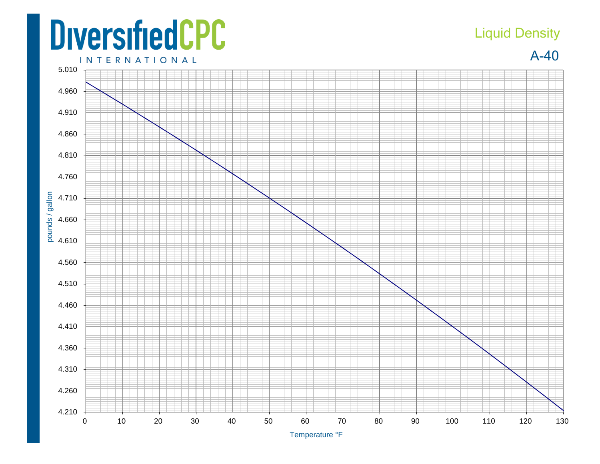## **DiversifiedCPC INTERNATIONAL**

## Liquid Density



4.210 4.260 4.310 4.360 4.410 4.460 4.510 4.560 4.610 4.660 4.710 4.760 4.810 4.860 4.910 4.960 5.010 0 10 20 30 40 50 60 70 80 90 100 110 120 130 pounds / gallon Temperature °F